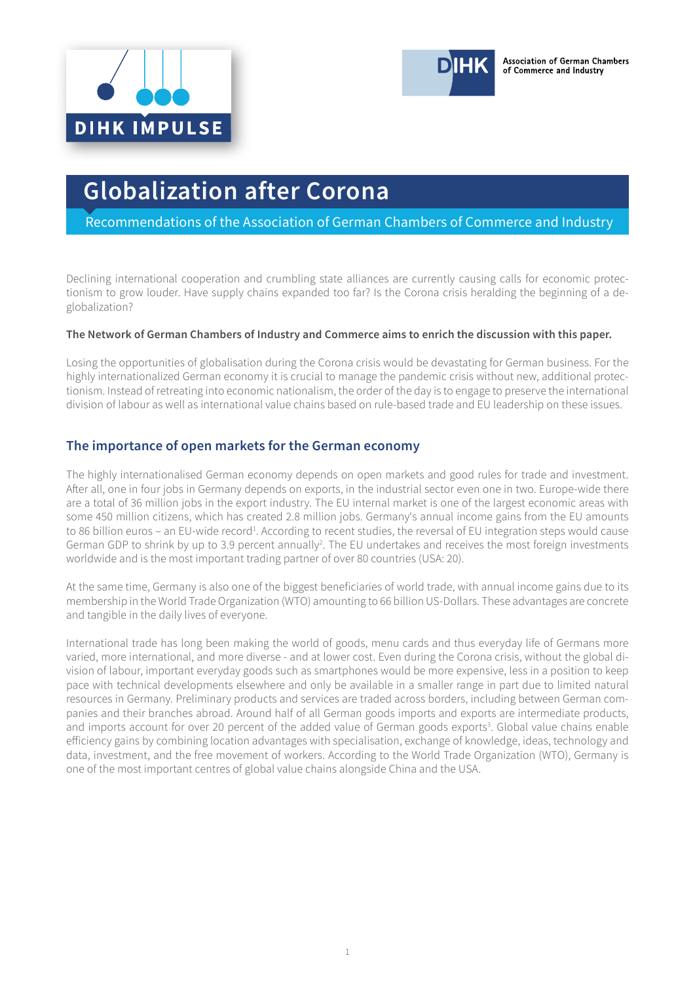



Recommendations of the Association of German Chambers of Commerce and Industry

Declining international cooperation and crumbling state alliances are currently causing calls for economic protectionism to grow louder. Have supply chains expanded too far? Is the Corona crisis heralding the beginning of a deglobalization?

#### **The Network of German Chambers of Industry and Commerce aims to enrich the discussion with this paper.**

Losing the opportunities of globalisation during the Corona crisis would be devastating for German business. For the highly internationalized German economy it is crucial to manage the pandemic crisis without new, additional protectionism. Instead of retreating into economic nationalism, the order of the day is to engage to preserve the international division of labour as well as international value chains based on rule-based trade and EU leadership on these issues.

## **The importance of open markets for the German economy**

The highly internationalised German economy depends on open markets and good rules for trade and investment. After all, one in four jobs in Germany depends on exports, in the industrial sector even one in two. Europe-wide there are a total of 36 million jobs in the export industry. The EU internal market is one of the largest economic areas with some 450 million citizens, which has created 2.8 million jobs. Germany's annual income gains from the EU amounts to 86 billion euros – an EU-wide record<sup>1</sup>. According to recent studies, the reversal of EU integration steps would cause German GDP to shrink by up to 3.9 percent annually<sup>2</sup>. The EU undertakes and receives the most foreign investments worldwide and is the most important trading partner of over 80 countries (USA: 20).

At the same time, Germany is also one of the biggest beneficiaries of world trade, with annual income gains due to its membership in the World Trade Organization (WTO) amounting to 66 billion US-Dollars. These advantages are concrete and tangible in the daily lives of everyone.

International trade has long been making the world of goods, menu cards and thus everyday life of Germans more varied, more international, and more diverse - and at lower cost. Even during the Corona crisis, without the global division of labour, important everyday goods such as smartphones would be more expensive, less in a position to keep pace with technical developments elsewhere and only be available in a smaller range in part due to limited natural resources in Germany. Preliminary products and services are traded across borders, including between German companies and their branches abroad. Around half of all German goods imports and exports are intermediate products, and imports account for over 20 percent of the added value of German goods exports<sup>3</sup>. Global value chains enable efficiency gains by combining location advantages with specialisation, exchange of knowledge, ideas, technology and data, investment, and the free movement of workers. According to the World Trade Organization (WTO), Germany is one of the most important centres of global value chains alongside China and the USA.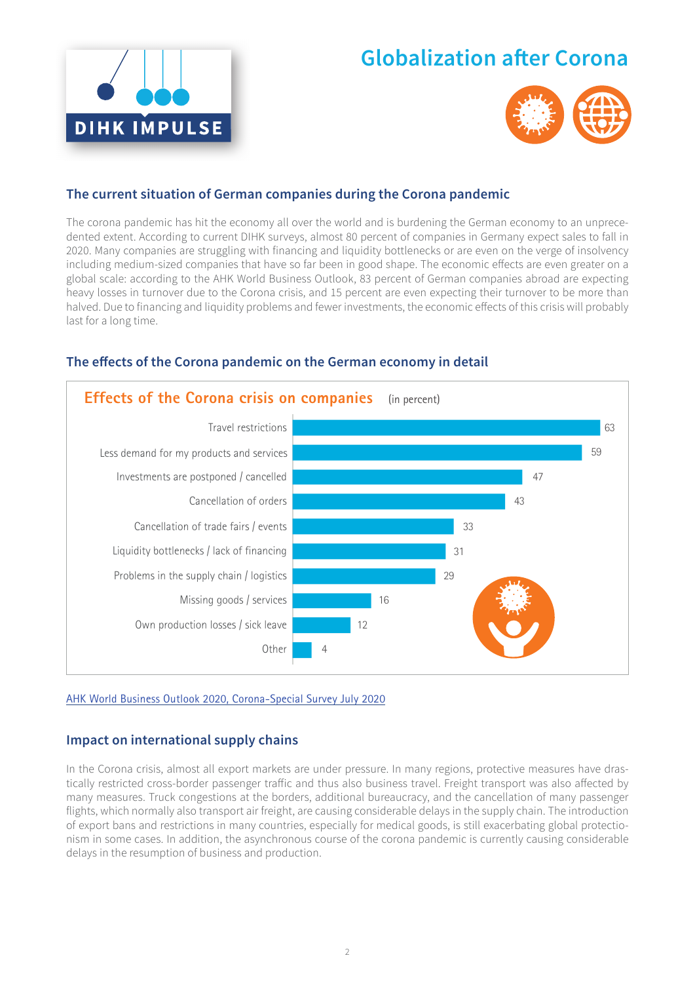



## **The current situation of German companies during the Corona pandemic**

The corona pandemic has hit the economy all over the world and is burdening the German economy to an unprecedented extent. According to current DIHK surveys, almost 80 percent of companies in Germany expect sales to fall in 2020. Many companies are struggling with financing and liquidity bottlenecks or are even on the verge of insolvency including medium-sized companies that have so far been in good shape. The economic effects are even greater on a global scale: according to the AHK World Business Outlook, 83 percent of German companies abroad are expecting heavy losses in turnover due to the Corona crisis, and 15 percent are even expecting their turnover to be more than halved. Due to financing and liquidity problems and fewer investments, the economic effects of this crisis will probably last for a long time.



# The effects of the Corona pandemic on the German economy in detail

[AHK World Business Outlook 2020, Corona-Special Survey July 2020](https://www.dihk.de/resource/blob/26876/0a0b69c379604a5ecb9180e17a0a0d5e/ahk-world-business-outlook-special-survey-2020-covid-19-data.pdf)

## **Impact on international supply chains**

In the Corona crisis, almost all export markets are under pressure. In many regions, protective measures have drastically restricted cross-border passenger traffic and thus also business travel. Freight transport was also affected by many measures. Truck congestions at the borders, additional bureaucracy, and the cancellation of many passenger flights, which normally also transport air freight, are causing considerable delays in the supply chain. The introduction of export bans and restrictions in many countries, especially for medical goods, is still exacerbating global protectionism in some cases. In addition, the asynchronous course of the corona pandemic is currently causing considerable delays in the resumption of business and production.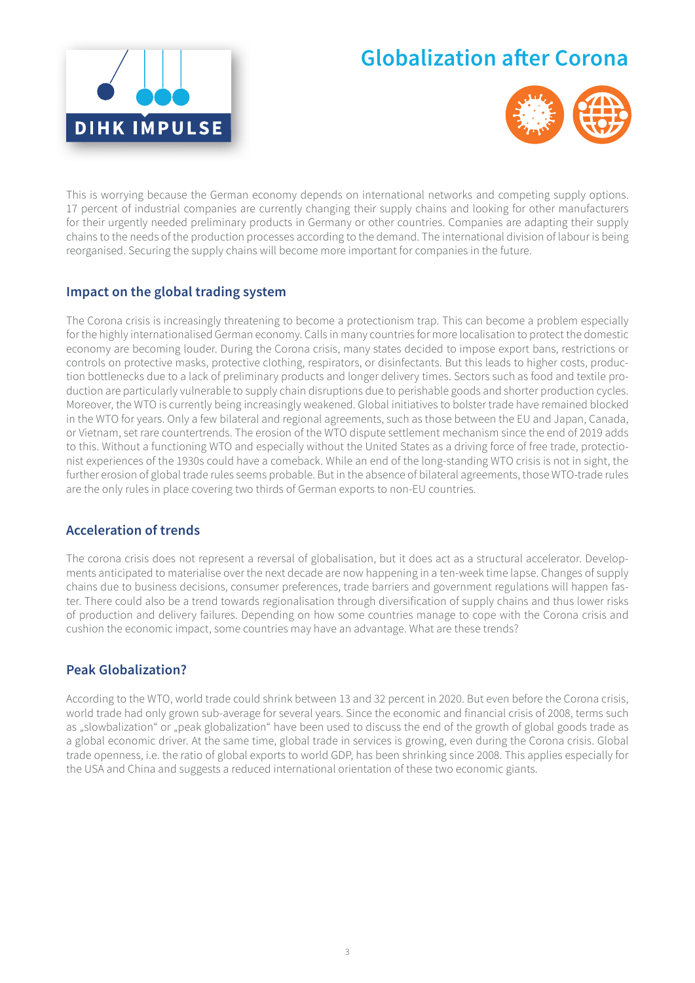



This is worrying because the German economy depends on international networks and competing supply options. 17 percent of industrial companies are currently changing their supply chains and looking for other manufacturers for their urgently needed preliminary products in Germany or other countries. Companies are adapting their supply chains to the needs of the production processes according to the demand. The international division of labour is being reorganised. Securing the supply chains will become more important for companies in the future.

# **Impact on the global trading system**

The Corona crisis is increasingly threatening to become a protectionism trap. This can become a problem especially for the highly internationalised German economy. Calls in many countries for more localisation to protect the domestic economy are becoming louder. During the Corona crisis, many states decided to impose export bans, restrictions or controls on protective masks, protective clothing, respirators, or disinfectants. But this leads to higher costs, production bottlenecks due to a lack of preliminary products and longer delivery times. Sectors such as food and textile production are particularly vulnerable to supply chain disruptions due to perishable goods and shorter production cycles. Moreover, the WTO is currently being increasingly weakened. Global initiatives to bolster trade have remained blocked in the WTO for years. Only a few bilateral and regional agreements, such as those between the EU and Japan, Canada, or Vietnam, set rare countertrends. The erosion of the WTO dispute settlement mechanism since the end of 2019 adds to this. Without a functioning WTO and especially without the United States as a driving force of free trade, protectionist experiences of the 1930s could have a comeback. While an end of the long-standing WTO crisis is not in sight, the further erosion of global trade rules seems probable. But in the absence of bilateral agreements, those WTO-trade rules are the only rules in place covering two thirds of German exports to non-EU countries.

# **Acceleration of trends**

The corona crisis does not represent a reversal of globalisation, but it does act as a structural accelerator. Developments anticipated to materialise over the next decade are now happening in a ten-week time lapse. Changes of supply chains due to business decisions, consumer preferences, trade barriers and government regulations will happen faster. There could also be a trend towards regionalisation through diversification of supply chains and thus lower risks of production and delivery failures. Depending on how some countries manage to cope with the Corona crisis and cushion the economic impact, some countries may have an advantage. What are these trends?

## **Peak Globalization?**

According to the WTO, world trade could shrink between 13 and 32 percent in 2020. But even before the Corona crisis, world trade had only grown sub-average for several years. Since the economic and financial crisis of 2008, terms such as "slowbalization" or "peak globalization" have been used to discuss the end of the growth of global goods trade as a global economic driver. At the same time, global trade in services is growing, even during the Corona crisis. Global trade openness, i.e. the ratio of global exports to world GDP, has been shrinking since 2008. This applies especially for the USA and China and suggests a reduced international orientation of these two economic giants.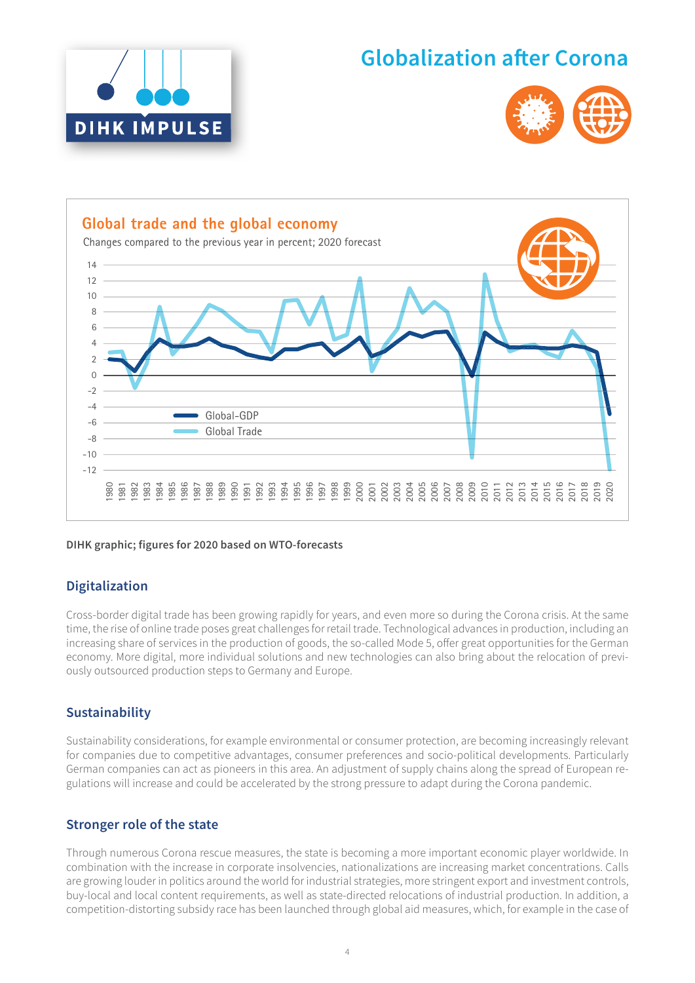





#### **DIHK graphic; figures for 2020 based on WTO-forecasts**

## **Digitalization**

Cross-border digital trade has been growing rapidly for years, and even more so during the Corona crisis. At the same time, the rise of online trade poses great challenges for retail trade. Technological advances in production, including an increasing share of services in the production of goods, the so-called Mode 5, offer great opportunities for the German economy. More digital, more individual solutions and new technologies can also bring about the relocation of previously outsourced production steps to Germany and Europe.

#### **Sustainability**

Sustainability considerations, for example environmental or consumer protection, are becoming increasingly relevant for companies due to competitive advantages, consumer preferences and socio-political developments. Particularly German companies can act as pioneers in this area. An adjustment of supply chains along the spread of European regulations will increase and could be accelerated by the strong pressure to adapt during the Corona pandemic.

#### **Stronger role of the state**

Through numerous Corona rescue measures, the state is becoming a more important economic player worldwide. In combination with the increase in corporate insolvencies, nationalizations are increasing market concentrations. Calls are growing louder in politics around the world for industrial strategies, more stringent export and investment controls, buy-local and local content requirements, as well as state-directed relocations of industrial production. In addition, a competition-distorting subsidy race has been launched through global aid measures, which, for example in the case of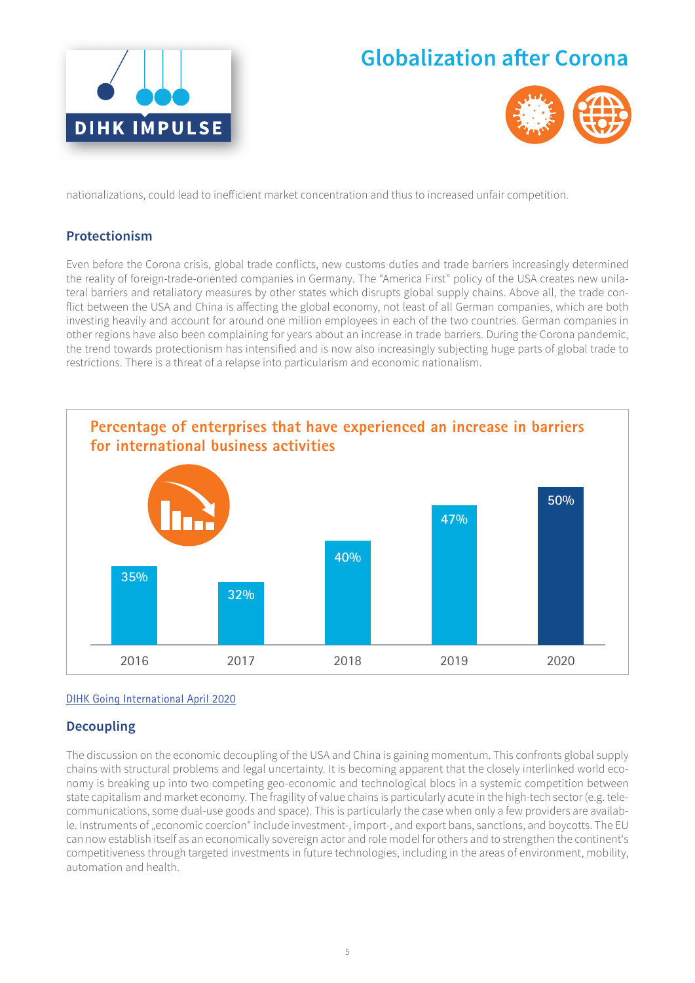



nationalizations, could lead to inefficient market concentration and thus to increased unfair competition.

## **Protectionism**

Even before the Corona crisis, global trade conflicts, new customs duties and trade barriers increasingly determined the reality of foreign-trade-oriented companies in Germany. The "America First" policy of the USA creates new unilateral barriers and retaliatory measures by other states which disrupts global supply chains. Above all, the trade conflict between the USA and China is affecting the global economy, not least of all German companies, which are both investing heavily and account for around one million employees in each of the two countries. German companies in other regions have also been complaining for years about an increase in trade barriers. During the Corona pandemic, the trend towards protectionism has intensified and is now also increasingly subjecting huge parts of global trade to restrictions. There is a threat of a relapse into particularism and economic nationalism.



#### [DIHK Going International April 2020](https://www.dihk.de/resource/blob/5252/0f80fc77e74f42189d5390c8047a74f8/summary-going-international-2019-data.pdf)

## **Decoupling**

The discussion on the economic decoupling of the USA and China is gaining momentum. This confronts global supply chains with structural problems and legal uncertainty. It is becoming apparent that the closely interlinked world economy is breaking up into two competing geo-economic and technological blocs in a systemic competition between state capitalism and market economy. The fragility of value chains is particularly acute in the high-tech sector (e.g. telecommunications, some dual-use goods and space). This is particularly the case when only a few providers are available. Instruments of "economic coercion" include investment-, import-, and export bans, sanctions, and boycotts. The EU can now establish itself as an economically sovereign actor and role model for others and to strengthen the continent's competitiveness through targeted investments in future technologies, including in the areas of environment, mobility, automation and health.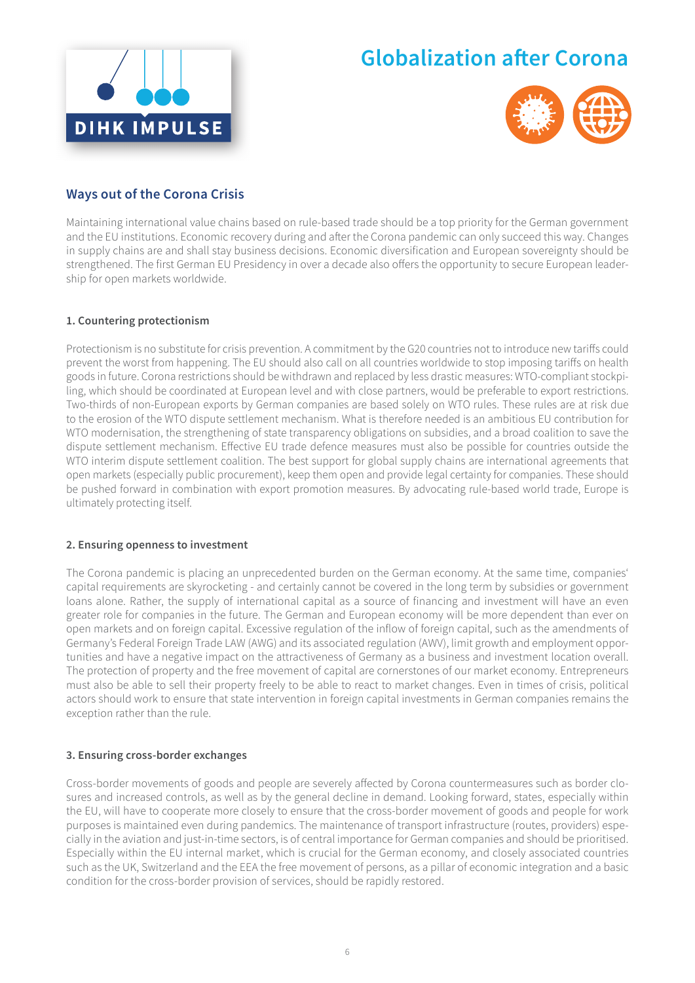



# **Ways out of the Corona Crisis**

Maintaining international value chains based on rule-based trade should be a top priority for the German government and the EU institutions. Economic recovery during and after the Corona pandemic can only succeed this way. Changes in supply chains are and shall stay business decisions. Economic diversification and European sovereignty should be strengthened. The first German EU Presidency in over a decade also offers the opportunity to secure European leadership for open markets worldwide.

#### **1. Countering protectionism**

Protectionism is no substitute for crisis prevention. A commitment by the G20 countries not to introduce new tariff s could prevent the worst from happening. The EU should also call on all countries worldwide to stop imposing tariffs on health goods in future. Corona restrictions should be withdrawn and replaced by less drastic measures: WTO-compliant stockpiling, which should be coordinated at European level and with close partners, would be preferable to export restrictions. Two-thirds of non-European exports by German companies are based solely on WTO rules. These rules are at risk due to the erosion of the WTO dispute settlement mechanism. What is therefore needed is an ambitious EU contribution for WTO modernisation, the strengthening of state transparency obligations on subsidies, and a broad coalition to save the dispute settlement mechanism. Effective EU trade defence measures must also be possible for countries outside the WTO interim dispute settlement coalition. The best support for global supply chains are international agreements that open markets (especially public procurement), keep them open and provide legal certainty for companies. These should be pushed forward in combination with export promotion measures. By advocating rule-based world trade, Europe is ultimately protecting itself.

#### **2. Ensuring openness to investment**

The Corona pandemic is placing an unprecedented burden on the German economy. At the same time, companies' capital requirements are skyrocketing - and certainly cannot be covered in the long term by subsidies or government loans alone. Rather, the supply of international capital as a source of financing and investment will have an even greater role for companies in the future. The German and European economy will be more dependent than ever on open markets and on foreign capital. Excessive regulation of the inflow of foreign capital, such as the amendments of Germany's Federal Foreign Trade LAW (AWG) and its associated regulation (AWV), limit growth and employment opportunities and have a negative impact on the attractiveness of Germany as a business and investment location overall. The protection of property and the free movement of capital are cornerstones of our market economy. Entrepreneurs must also be able to sell their property freely to be able to react to market changes. Even in times of crisis, political actors should work to ensure that state intervention in foreign capital investments in German companies remains the exception rather than the rule.

#### **3. Ensuring cross-border exchanges**

Cross-border movements of goods and people are severely affected by Corona countermeasures such as border closures and increased controls, as well as by the general decline in demand. Looking forward, states, especially within the EU, will have to cooperate more closely to ensure that the cross-border movement of goods and people for work purposes is maintained even during pandemics. The maintenance of transport infrastructure (routes, providers) especially in the aviation and just-in-time sectors, is of central importance for German companies and should be prioritised. Especially within the EU internal market, which is crucial for the German economy, and closely associated countries such as the UK, Switzerland and the EEA the free movement of persons, as a pillar of economic integration and a basic condition for the cross-border provision of services, should be rapidly restored.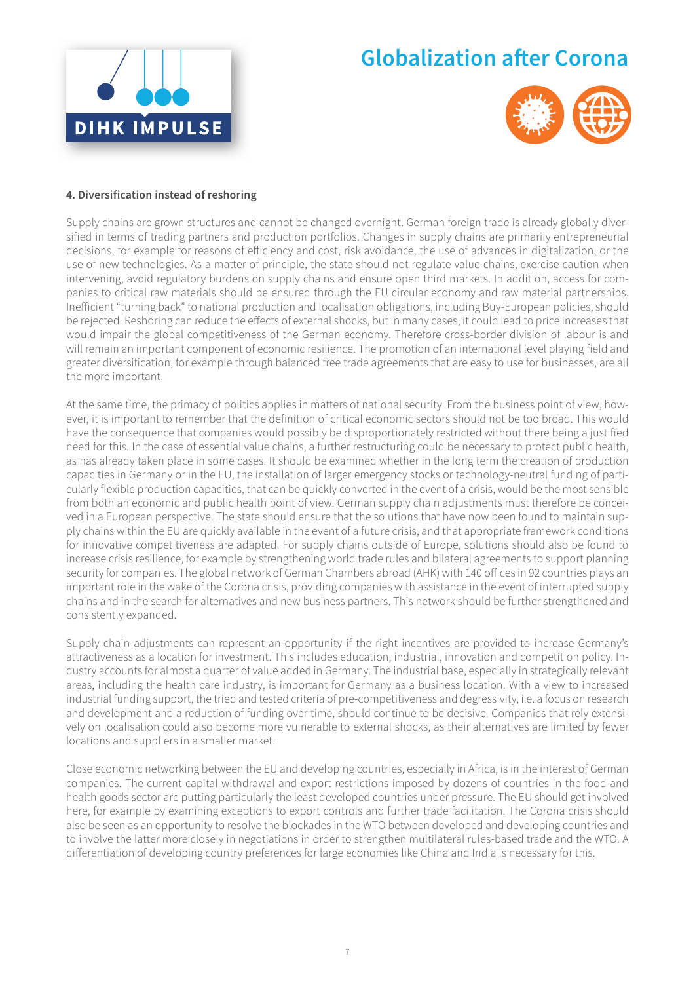



#### **4. Diversification instead of reshoring**

Supply chains are grown structures and cannot be changed overnight. German foreign trade is already globally diversified in terms of trading partners and production portfolios. Changes in supply chains are primarily entrepreneurial decisions, for example for reasons of efficiency and cost, risk avoidance, the use of advances in digitalization, or the use of new technologies. As a matter of principle, the state should not regulate value chains, exercise caution when intervening, avoid regulatory burdens on supply chains and ensure open third markets. In addition, access for companies to critical raw materials should be ensured through the EU circular economy and raw material partnerships. Inefficient "turning back" to national production and localisation obligations, including Buy-European policies, should be rejected. Reshoring can reduce the effects of external shocks, but in many cases, it could lead to price increases that would impair the global competitiveness of the German economy. Therefore cross-border division of labour is and will remain an important component of economic resilience. The promotion of an international level playing field and greater diversification, for example through balanced free trade agreements that are easy to use for businesses, are all the more important.

At the same time, the primacy of politics applies in matters of national security. From the business point of view, however, it is important to remember that the definition of critical economic sectors should not be too broad. This would have the consequence that companies would possibly be disproportionately restricted without there being a justified need for this. In the case of essential value chains, a further restructuring could be necessary to protect public health, as has already taken place in some cases. It should be examined whether in the long term the creation of production capacities in Germany or in the EU, the installation of larger emergency stocks or technology-neutral funding of particularly flexible production capacities, that can be quickly converted in the event of a crisis, would be the most sensible from both an economic and public health point of view. German supply chain adjustments must therefore be conceived in a European perspective. The state should ensure that the solutions that have now been found to maintain supply chains within the EU are quickly available in the event of a future crisis, and that appropriate framework conditions for innovative competitiveness are adapted. For supply chains outside of Europe, solutions should also be found to increase crisis resilience, for example by strengthening world trade rules and bilateral agreements to support planning security for companies. The global network of German Chambers abroad (AHK) with 140 offices in 92 countries plays an important role in the wake of the Corona crisis, providing companies with assistance in the event of interrupted supply chains and in the search for alternatives and new business partners. This network should be further strengthened and consistently expanded.

Supply chain adjustments can represent an opportunity if the right incentives are provided to increase Germany's attractiveness as a location for investment. This includes education, industrial, innovation and competition policy. Industry accounts for almost a quarter of value added in Germany. The industrial base, especially in strategically relevant areas, including the health care industry, is important for Germany as a business location. With a view to increased industrial funding support, the tried and tested criteria of pre-competitiveness and degressivity, i.e. a focus on research and development and a reduction of funding over time, should continue to be decisive. Companies that rely extensively on localisation could also become more vulnerable to external shocks, as their alternatives are limited by fewer locations and suppliers in a smaller market.

Close economic networking between the EU and developing countries, especially in Africa, is in the interest of German companies. The current capital withdrawal and export restrictions imposed by dozens of countries in the food and health goods sector are putting particularly the least developed countries under pressure. The EU should get involved here, for example by examining exceptions to export controls and further trade facilitation. The Corona crisis should also be seen as an opportunity to resolve the blockades in the WTO between developed and developing countries and to involve the latter more closely in negotiations in order to strengthen multilateral rules-based trade and the WTO. A differentiation of developing country preferences for large economies like China and India is necessary for this.